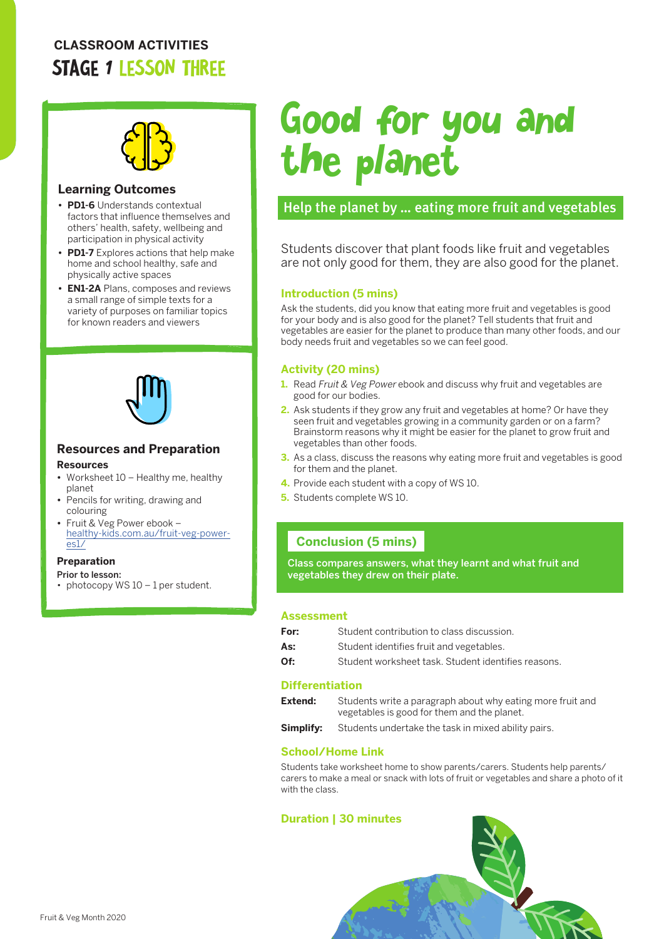# **CLASSROOM ACTIVITIES** STAGE 1 LESSON THREE



#### **Learning Outcomes**

- **• PD1-6** Understands contextual factors that influence themselves and others' health, safety, wellbeing and participation in physical activity
- **• PD1-7** Explores actions that help make home and school healthy, safe and physically active spaces
- **• EN1-2A** Plans, composes and reviews a small range of simple texts for a variety of purposes on familiar topics for known readers and viewers



# **Resources and Preparation**

#### **Resources**

- **•** Worksheet 10 Healthy me, healthy planet
- **•** Pencils for writing, drawing and colouring
- **•** Fruit & Veg Power ebook [healthy-kids.com.au/fruit-veg-power](http://healthy-kids.com.au/fruit-veg-power-es1/)[es1/](http://healthy-kids.com.au/fruit-veg-power-es1/)

#### **Preparation**

- Prior to lesson:
- photocopy WS  $10 1$  per student.

# Good for you and the planet

# Help the planet by … eating more fruit and vegetables

Students discover that plant foods like fruit and vegetables are not only good for them, they are also good for the planet.

#### **Introduction (5 mins)**

Ask the students, did you know that eating more fruit and vegetables is good for your body and is also good for the planet? Tell students that fruit and vegetables are easier for the planet to produce than many other foods, and our body needs fruit and vegetables so we can feel good.

#### **Activity (20 mins)**

- **1.** Read Fruit & Veg Power ebook and discuss why fruit and vegetables are good for our bodies.
- **2.** Ask students if they grow any fruit and vegetables at home? Or have they seen fruit and vegetables growing in a community garden or on a farm? Brainstorm reasons why it might be easier for the planet to grow fruit and vegetables than other foods.
- **3.** As a class, discuss the reasons why eating more fruit and vegetables is good for them and the planet.
- **4.** Provide each student with a copy of WS 10.
- **5.** Students complete WS 10.

### **Conclusion (5 mins)**

Class compares answers, what they learnt and what fruit and vegetables they drew on their plate.

#### **Assessment**

| For: | Student contribution to class discussion.           |
|------|-----------------------------------------------------|
| As:  | Student identifies fruit and vegetables.            |
| Of:  | Student worksheet task. Student identifies reasons. |

#### **Differentiation**

| Extend: | Students write a paragraph about why eating more fruit and<br>vegetables is good for them and the planet. |
|---------|-----------------------------------------------------------------------------------------------------------|
|         |                                                                                                           |

**Simplify:** Students undertake the task in mixed ability pairs.

#### **School/Home Link**

Students take worksheet home to show parents/carers. Students help parents/ carers to make a meal or snack with lots of fruit or vegetables and share a photo of it with the class.

#### **Duration | 30 minutes**